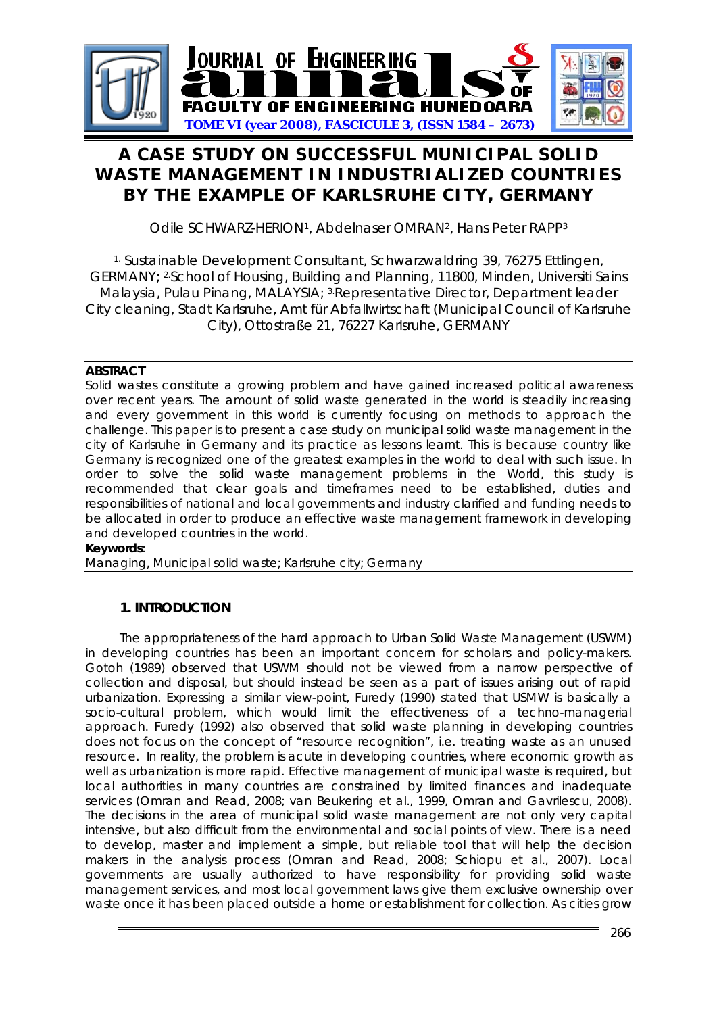

# **A CASE STUDY ON SUCCESSFUL MUNICIPAL SOLID WASTE MANAGEMENT IN INDUSTRIALIZED COUNTRIES BY THE EXAMPLE OF KARLSRUHE CITY, GERMANY**

Odile SCHWARZ-HERION1, Abdelnaser OMRAN2, Hans Peter RAPP3

1. Sustainable Development Consultant, Schwarzwaldring 39, 76275 Ettlingen, GERMANY; 2.School of Housing, Building and Planning, 11800, Minden, Universiti Sains Malaysia, Pulau Pinang, MALAYSIA; 3.Representative Director, Department leader City cleaning, Stadt Karlsruhe, Amt für Abfallwirtschaft (Municipal Council of Karlsruhe City), Ottostraße 21, 76227 Karlsruhe, GERMANY

## **ABSTRACT**

Solid wastes constitute a growing problem and have gained increased political awareness over recent years. The amount of solid waste generated in the world is steadily increasing and every government in this world is currently focusing on methods to approach the challenge. This paper is to present a case study on municipal solid waste management in the city of Karlsruhe in Germany and its practice as lessons learnt. This is because country like Germany is recognized one of the greatest examples in the world to deal with such issue. In order to solve the solid waste management problems in the World, this study is recommended that clear goals and timeframes need to be established, duties and responsibilities of national and local governments and industry clarified and funding needs to be allocated in order to produce an effective waste management framework in developing and developed countries in the world.

## **Keywords**:

Managing, Municipal solid waste; Karlsruhe city; Germany

# **1. INTRODUCTION**

The appropriateness of the hard approach to Urban Solid Waste Management (USWM) in developing countries has been an important concern for scholars and policy-makers. Gotoh (1989) observed that USWM should not be viewed from a narrow perspective of collection and disposal, but should instead be seen as a part of issues arising out of rapid urbanization. Expressing a similar view-point, Furedy (1990) stated that USMW is basically a socio-cultural problem, which would limit the effectiveness of a techno-managerial approach. Furedy (1992) also observed that solid waste planning in developing countries does not focus on the concept of "resource recognition", i.e. treating waste as an unused resource. In reality, the problem is acute in developing countries, where economic growth as well as urbanization is more rapid. Effective management of municipal waste is required, but local authorities in many countries are constrained by limited finances and inadequate services (Omran and Read, 2008; van Beukering et al., 1999, Omran and Gavrilescu, 2008). The decisions in the area of municipal solid waste management are not only very capital intensive, but also difficult from the environmental and social points of view. There is a need to develop, master and implement a simple, but reliable tool that will help the decision makers in the analysis process (Omran and Read, 2008; Schiopu et al., 2007). Local governments are usually authorized to have responsibility for providing solid waste management services, and most local government laws give them exclusive ownership over waste once it has been placed outside a home or establishment for collection. As cities grow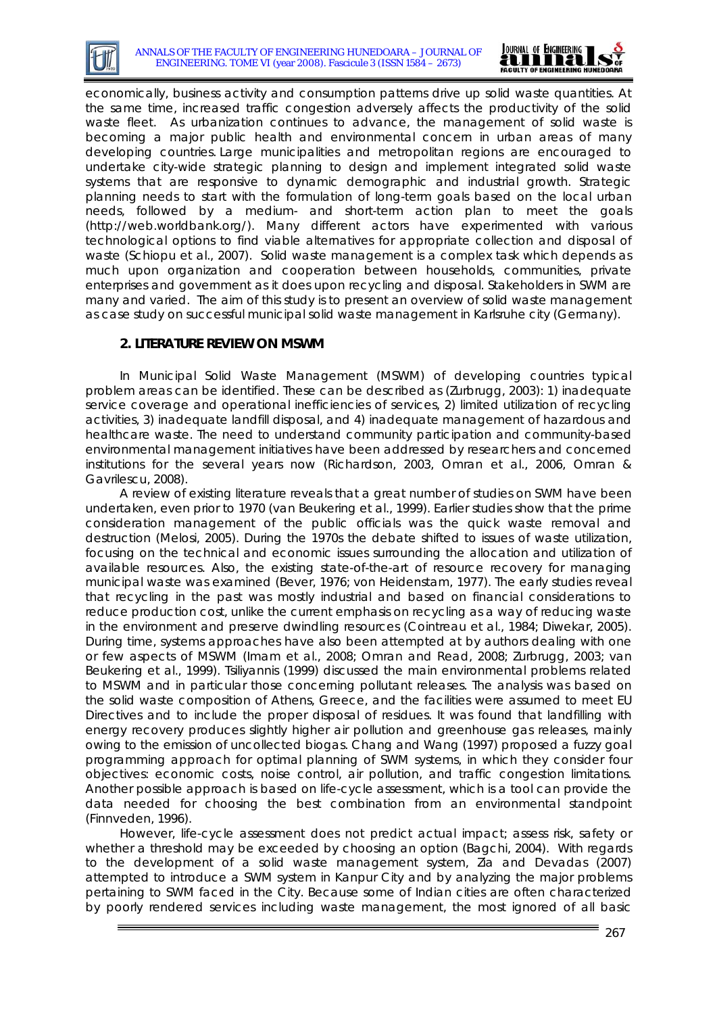



economically, business activity and consumption patterns drive up solid waste quantities. At the same time, increased traffic congestion adversely affects the productivity of the solid waste fleet. As urbanization continues to advance, the management of solid waste is becoming a major public health and environmental concern in urban areas of many developing countries. Large municipalities and metropolitan regions are encouraged to undertake city-wide strategic planning to design and implement integrated solid waste systems that are responsive to dynamic demographic and industrial growth. Strategic planning needs to start with the formulation of long-term goals based on the local urban needs, followed by a medium- and short-term action plan to meet the goals (http://web.worldbank.org/). Many different actors have experimented with various technological options to find viable alternatives for appropriate collection and disposal of waste (Schiopu *et al.,* 2007). Solid waste management is a complex task which depends as much upon organization and cooperation between households, communities, private enterprises and government as it does upon recycling and disposal. Stakeholders in SWM are many and varied. The aim of this study is to present an overview of solid waste management as case study on successful municipal solid waste management in Karlsruhe city (Germany).

### **2. LITERATURE REVIEW ON MSWM**

In Municipal Solid Waste Management (MSWM) of developing countries typical problem areas can be identified. These can be described as (Zurbrugg, 2003): 1) inadequate service coverage and operational inefficiencies of services, 2) limited utilization of recycling activities, 3) inadequate landfill disposal, and 4) inadequate management of hazardous and healthcare waste. The need to understand community participation and community-based environmental management initiatives have been addressed by researchers and concerned institutions for the several years now (Richardson, 2003, Omran et al., 2006, Omran & Gavrilescu, 2008).

A review of existing literature reveals that a great number of studies on SWM have been undertaken, even prior to 1970 (van Beukering et al., 1999). Earlier studies show that the prime consideration management of the public officials was the quick waste removal and destruction (Melosi, 2005). During the 1970s the debate shifted to issues of waste utilization, focusing on the technical and economic issues surrounding the allocation and utilization of available resources. Also, the existing state-of-the-art of resource recovery for managing municipal waste was examined (Bever, 1976; von Heidenstam, 1977). The early studies reveal that recycling in the past was mostly industrial and based on financial considerations to reduce production cost, unlike the current emphasis on recycling as a way of reducing waste in the environment and preserve dwindling resources (Cointreau et al., 1984; Diwekar, 2005). During time, systems approaches have also been attempted at by authors dealing with one or few aspects of MSWM (Imam et al., 2008; Omran and Read, 2008; Zurbrugg, 2003; van Beukering et al., 1999). Tsiliyannis (1999) discussed the main environmental problems related to MSWM and in particular those concerning pollutant releases. The analysis was based on the solid waste composition of Athens, Greece, and the facilities were assumed to meet EU Directives and to include the proper disposal of residues. It was found that landfilling with energy recovery produces slightly higher air pollution and greenhouse gas releases, mainly owing to the emission of uncollected biogas. Chang and Wang (1997) proposed a fuzzy goal programming approach for optimal planning of SWM systems, in which they consider four objectives: economic costs, noise control, air pollution, and traffic congestion limitations. Another possible approach is based on life-cycle assessment, which is a tool can provide the data needed for choosing the best combination from an environmental standpoint (Finnveden, 1996).

However, life-cycle assessment does not predict actual impact; assess risk, safety or whether a threshold may be exceeded by choosing an option (Bagchi, 2004). With regards to the development of a solid waste management system, Zia and Devadas (2007) attempted to introduce a SWM system in Kanpur City and by analyzing the major problems pertaining to SWM faced in the City. Because some of Indian cities are often characterized by poorly rendered services including waste management, the most ignored of all basic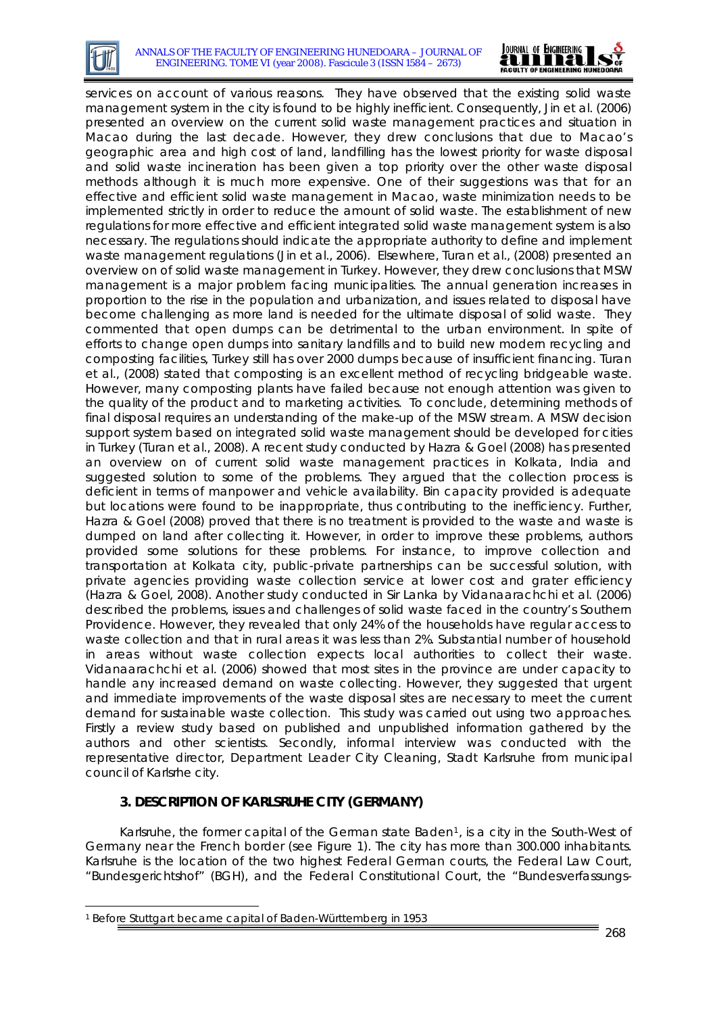



services on account of various reasons. They have observed that the existing solid waste management system in the city is found to be highly inefficient. Consequently, Jin et al. (2006) presented an overview on the current solid waste management practices and situation in Macao during the last decade. However, they drew conclusions that due to Macao's geographic area and high cost of land, landfilling has the lowest priority for waste disposal and solid waste incineration has been given a top priority over the other waste disposal methods although it is much more expensive. One of their suggestions was that for an effective and efficient solid waste management in Macao, waste minimization needs to be implemented strictly in order to reduce the amount of solid waste. The establishment of new regulations for more effective and efficient integrated solid waste management system is also necessary. The regulations should indicate the appropriate authority to define and implement waste management regulations (Jin et al., 2006). Elsewhere, Turan *et al.,* (2008) presented an overview on of solid waste management in Turkey. However, they drew conclusions that MSW management is a major problem facing municipalities. The annual generation increases in proportion to the rise in the population and urbanization, and issues related to disposal have become challenging as more land is needed for the ultimate disposal of solid waste. They commented that open dumps can be detrimental to the urban environment. In spite of efforts to change open dumps into sanitary landfills and to build new modern recycling and composting facilities, Turkey still has over 2000 dumps because of insufficient financing. Turan et al., (2008) stated that composting is an excellent method of recycling bridgeable waste. However, many composting plants have failed because not enough attention was given to the quality of the product and to marketing activities. To conclude, determining methods of final disposal requires an understanding of the make-up of the MSW stream. A MSW decision support system based on integrated solid waste management should be developed for cities in Turkey (Turan et al., 2008). A recent study conducted by Hazra & Goel (2008) has presented an overview on of current solid waste management practices in Kolkata, India and suggested solution to some of the problems. They argued that the collection process is deficient in terms of manpower and vehicle availability. Bin capacity provided is adequate but locations were found to be inappropriate, thus contributing to the inefficiency. Further, Hazra & Goel (2008) proved that there is no treatment is provided to the waste and waste is dumped on land after collecting it. However, in order to improve these problems, authors provided some solutions for these problems. For instance, to improve collection and transportation at Kolkata city, public-private partnerships can be successful solution, with private agencies providing waste collection service at lower cost and grater efficiency (Hazra & Goel, 2008). Another study conducted in Sir Lanka by Vidanaarachchi et al. (2006) described the problems, issues and challenges of solid waste faced in the country's Southern Providence. However, they revealed that only 24% of the households have regular access to waste collection and that in rural areas it was less than 2%. Substantial number of household in areas without waste collection expects local authorities to collect their waste. Vidanaarachchi et al. (2006) showed that most sites in the province are under capacity to handle any increased demand on waste collecting. However, they suggested that urgent and immediate improvements of the waste disposal sites are necessary to meet the current demand for sustainable waste collection. This study was carried out using two approaches. Firstly a review study based on published and unpublished information gathered by the authors and other scientists. Secondly, informal interview was conducted with the representative director, Department Leader City Cleaning, Stadt Karlsruhe from municipal council of Karlsrhe city.

# **3. DESCRIPTION OF KARLSRUHE CITY (GERMANY)**

Karlsruhe, the former capital of the German state Baden<sup>[1](#page-2-0)</sup>, is a city in the South-West of Germany near the French border (see Figure 1). The city has more than 300.000 inhabitants. Karlsruhe is the location of the two highest Federal German courts, the Federal Law Court, "Bundesgerichtshof" (BGH), and the Federal Constitutional Court, the "Bundesverfassungs-

-

<span id="page-2-0"></span><sup>1</sup> Before Stuttgart became capital of Baden-Württemberg in 1953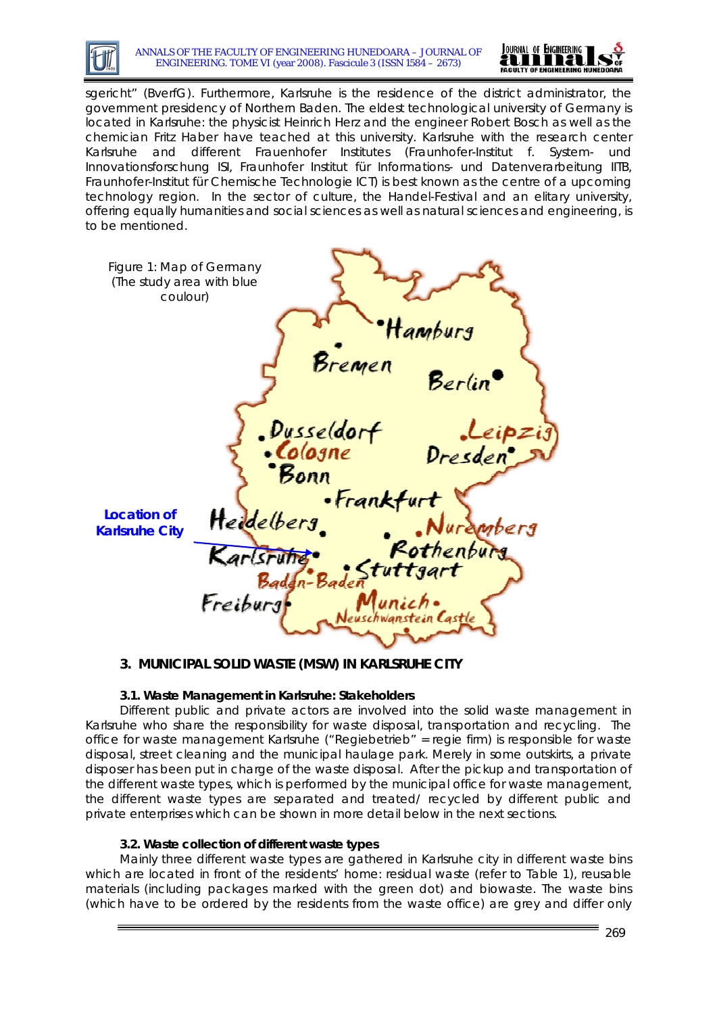



sgericht" (BverfG). Furthermore, Karlsruhe is the residence of the district administrator, the government presidency of Northern Baden. The eldest technological university of Germany is located in Karlsruhe: the physicist Heinrich Herz and the engineer Robert Bosch as well as the chemician Fritz Haber have teached at this university. Karlsruhe with the research center Karlsruhe and different Frauenhofer Institutes (Fraunhofer-Institut f. System- und Innovationsforschung ISI, Fraunhofer Institut für Informations- und Datenverarbeitung IITB, Fraunhofer-Institut für Chemische Technologie ICT) is best known as the centre of a upcoming technology region. In the sector of culture, the Handel-Festival and an elitary university, offering equally humanities and social sciences as well as natural sciences and engineering, is to be mentioned.

| Figure 1: Map of Germany<br>(The study area with blue<br>coulour) |                                  |                                  |                                 |  |
|-------------------------------------------------------------------|----------------------------------|----------------------------------|---------------------------------|--|
|                                                                   |                                  | Bremen                           | Hamburg<br>Berlin               |  |
|                                                                   | *Bonn                            | Dusseldorf<br>•Cologne           | Leipzij<br>Dresden <sup>•</sup> |  |
| <b>Location of</b><br><b>Karlsruhe City</b>                       | Heidelberg                       | •Frankfurt                       | Nurambers<br>Rothenburg         |  |
|                                                                   | Karlsrufig Stuttgart<br>Freiburg | Munich.<br>Neuschwanstein Castle |                                 |  |

## **3. MUNICIPAL SOLID WASTE (MSW) IN KARLSRUHE CITY**

## **3.1. Waste Management in Karlsruhe: Stakeholders**

Different public and private actors are involved into the solid waste management in Karlsruhe who share the responsibility for waste disposal, transportation and recycling. The office for waste management Karlsruhe ("Regiebetrieb" = regie firm) is responsible for waste disposal, street cleaning and the municipal haulage park. Merely in some outskirts, a private disposer has been put in charge of the waste disposal. After the pickup and transportation of the different waste types, which is performed by the municipal office for waste management, the different waste types are separated and treated/ recycled by different public and private enterprises which can be shown in more detail below in the next sections.

#### **3.2. Waste collection of different waste types**

Mainly three different waste types are gathered in Karlsruhe city in different waste bins which are located in front of the residents' home: residual waste (refer to Table 1), reusable materials (including packages marked with the green dot) and biowaste. The waste bins (which have to be ordered by the residents from the waste office) are grey and differ only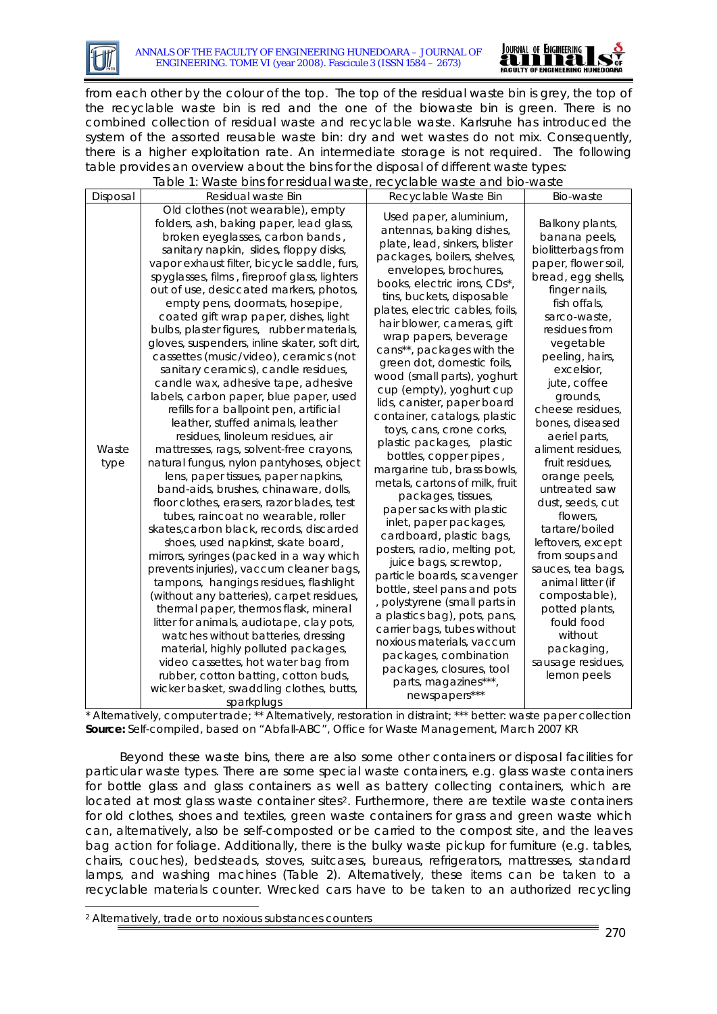



from each other by the colour of the top. The top of the residual waste bin is grey, the top of the recyclable waste bin is red and the one of the biowaste bin is green. There is no combined collection of residual waste and recyclable waste. Karlsruhe has introduced the system of the assorted reusable waste bin: dry and wet wastes do not mix. Consequently, there is a higher exploitation rate. An intermediate storage is not required. The following table provides an overview about the bins for the disposal of different waste types:

|               | rable 1. Waste bins for residual waste, recyclable waste and bio-waste                                                                                                                                                                                                                                                                                                                                                                                                                                                                                                                                                                                                                                                                                                                                                                                                                                                                                                                                                                                                                                                                                                                                                                                                                                                                                                                                                                                                                                                                                                                                          |                                                                                                                                                                                                                                                                                                                                                                                                                                                                                                                                                                                                                                                                                                                                                                                                                                                                                                                                                                                                                                                                                                      |                                                                                                                                                                                                                                                                                                                                                                                                                                                                                                                                                                                                                                    |
|---------------|-----------------------------------------------------------------------------------------------------------------------------------------------------------------------------------------------------------------------------------------------------------------------------------------------------------------------------------------------------------------------------------------------------------------------------------------------------------------------------------------------------------------------------------------------------------------------------------------------------------------------------------------------------------------------------------------------------------------------------------------------------------------------------------------------------------------------------------------------------------------------------------------------------------------------------------------------------------------------------------------------------------------------------------------------------------------------------------------------------------------------------------------------------------------------------------------------------------------------------------------------------------------------------------------------------------------------------------------------------------------------------------------------------------------------------------------------------------------------------------------------------------------------------------------------------------------------------------------------------------------|------------------------------------------------------------------------------------------------------------------------------------------------------------------------------------------------------------------------------------------------------------------------------------------------------------------------------------------------------------------------------------------------------------------------------------------------------------------------------------------------------------------------------------------------------------------------------------------------------------------------------------------------------------------------------------------------------------------------------------------------------------------------------------------------------------------------------------------------------------------------------------------------------------------------------------------------------------------------------------------------------------------------------------------------------------------------------------------------------|------------------------------------------------------------------------------------------------------------------------------------------------------------------------------------------------------------------------------------------------------------------------------------------------------------------------------------------------------------------------------------------------------------------------------------------------------------------------------------------------------------------------------------------------------------------------------------------------------------------------------------|
| Disposal      | Residual waste Bin                                                                                                                                                                                                                                                                                                                                                                                                                                                                                                                                                                                                                                                                                                                                                                                                                                                                                                                                                                                                                                                                                                                                                                                                                                                                                                                                                                                                                                                                                                                                                                                              | Recyclable Waste Bin                                                                                                                                                                                                                                                                                                                                                                                                                                                                                                                                                                                                                                                                                                                                                                                                                                                                                                                                                                                                                                                                                 | Bio-waste                                                                                                                                                                                                                                                                                                                                                                                                                                                                                                                                                                                                                          |
| Waste<br>type | Old clothes (not wearable), empty<br>folders, ash, baking paper, lead glass,<br>broken eyeglasses, carbon bands,<br>sanitary napkin, slides, floppy disks,<br>vapor exhaust filter, bicycle saddle, furs,<br>spyglasses, films, fireproof glass, lighters<br>out of use, desiccated markers, photos,<br>empty pens, doormats, hosepipe,<br>coated gift wrap paper, dishes, light<br>bulbs, plaster figures, rubber materials,<br>gloves, suspenders, inline skater, soft dirt,<br>cassettes (music/video), ceramics (not<br>sanitary ceramics), candle residues,<br>candle wax, adhesive tape, adhesive<br>labels, carbon paper, blue paper, used<br>refills for a ballpoint pen, artificial<br>leather, stuffed animals, leather<br>residues, linoleum residues, air<br>mattresses, rags, solvent-free crayons,<br>natural fungus, nylon pantyhoses, object<br>lens, paper tissues, paper napkins,<br>band-aids, brushes, chinaware, dolls,<br>floor clothes, erasers, razor blades, test<br>tubes, raincoat no wearable, roller<br>skates, carbon black, records, discarded<br>shoes, used napkinst, skate board,<br>mirrors, syringes (packed in a way which<br>prevents injuries), vaccum cleaner bags,<br>tampons, hangings residues, flashlight<br>(without any batteries), carpet residues,<br>thermal paper, thermos flask, mineral<br>litter for animals, audiotape, clay pots,<br>watches without batteries, dressing<br>material, highly polluted packages,<br>video cassettes, hot water bag from<br>rubber, cotton batting, cotton buds,<br>wicker basket, swaddling clothes, butts,<br>sparkplugs | Used paper, aluminium,<br>antennas, baking dishes,<br>plate, lead, sinkers, blister<br>packages, boilers, shelves,<br>envelopes, brochures,<br>books, electric irons, CDs*,<br>tins, buckets, disposable<br>plates, electric cables, foils,<br>hair blower, cameras, gift<br>wrap papers, beverage<br>cans**, packages with the<br>green dot, domestic foils,<br>wood (small parts), yoghurt<br>cup (empty), yoghurt cup<br>lids, canister, paper board<br>container, catalogs, plastic<br>toys, cans, crone corks,<br>plastic packages, plastic<br>bottles, copper pipes,<br>margarine tub, brass bowls,<br>metals, cartons of milk, fruit<br>packages, tissues,<br>paper sacks with plastic<br>inlet, paper packages,<br>cardboard, plastic bags,<br>posters, radio, melting pot,<br>juice bags, screwtop,<br>particle boards, scavenger<br>bottle, steel pans and pots<br>, polystyrene (small parts in<br>a plastics bag), pots, pans,<br>carrier bags, tubes without<br>noxious materials, vaccum<br>packages, combination<br>packages, closures, tool<br>parts, magazines***,<br>newspapers*** | Balkony plants,<br>banana peels,<br>biolitterbags from<br>paper, flower soil,<br>bread, egg shells,<br>finger nails,<br>fish offals,<br>sarco-waste,<br>residues from<br>vegetable<br>peeling, hairs,<br>excelsior,<br>jute, coffee<br>grounds,<br>cheese residues,<br>bones, diseased<br>aeriel parts,<br>aliment residues,<br>fruit residues,<br>orange peels,<br>untreated saw<br>dust, seeds, cut<br>flowers,<br>tartare/boiled<br>leftovers, except<br>from soups and<br>sauces, tea bags,<br>animal litter (if<br>compostable),<br>potted plants,<br>fould food<br>without<br>packaging,<br>sausage residues,<br>lemon peels |

Table 1: Waste bins for residual waste, recyclable waste and bio-waste

\* Alternatively, computer trade; \*\* Alternatively, restoration in distraint; \*\*\* better: waste paper collection **Source:** Self-compiled, based on "Abfall-ABC", Office for Waste Management, March 2007 KR

Beyond these waste bins, there are also some other containers or disposal facilities for particular waste types. There are some special waste containers, e.g. glass waste containers for bottle glass and glass containers as well as battery collecting containers, which are located at most glass waste container sites<sup>[2](#page-4-0)</sup>. Furthermore, there are textile waste containers for old clothes, shoes and textiles, green waste containers for grass and green waste which can, alternatively, also be self-composted or be carried to the compost site, and the leaves bag action for foliage. Additionally, there is the bulky waste pickup for furniture (e.g. tables, chairs, couches), bedsteads, stoves, suitcases, bureaus, refrigerators, mattresses, standard lamps, and washing machines (Table 2). Alternatively, these items can be taken to a recyclable materials counter. Wrecked cars have to be taken to an authorized recycling

<span id="page-4-0"></span>2 Alternatively, trade or to noxious substances counters

-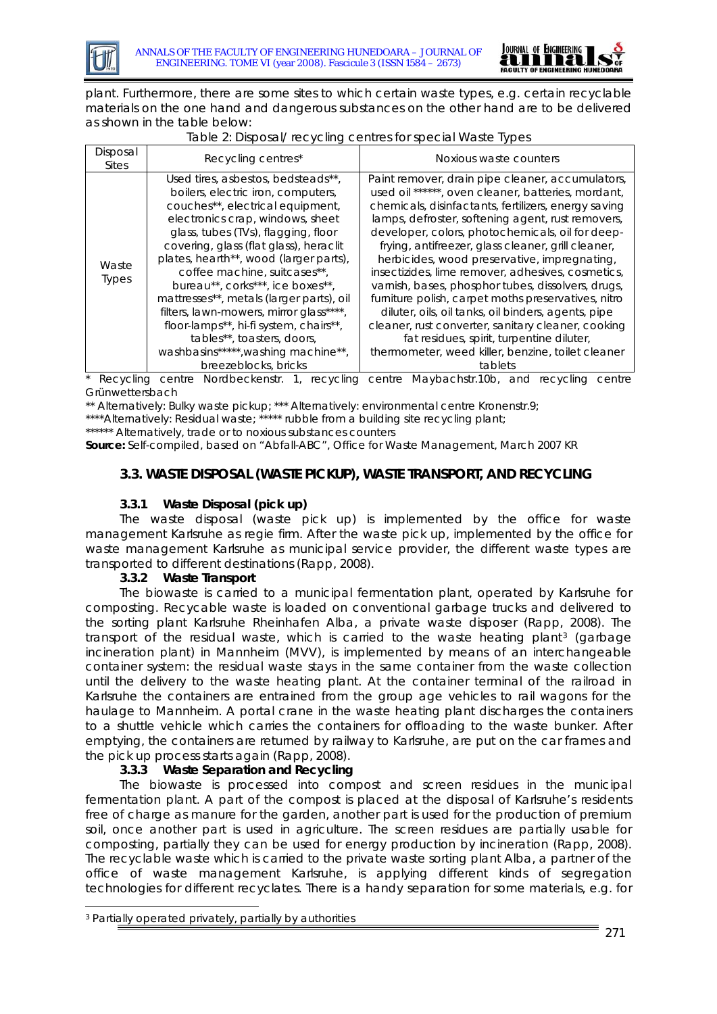



plant. Furthermore, there are some sites to which certain waste types, e.g. certain recyclable materials on the one hand and dangerous substances on the other hand are to be delivered as shown in the table below:

| Table 2: Disposal/recycling centres for special Waste Types |  |
|-------------------------------------------------------------|--|
|                                                             |  |

| Disposal<br><b>Sites</b> | Recycling centres*                                                                                                                                                                                                                                                                                                                                                                                                                                                                                                                                                            | Noxious waste counters                                                                                                                                                                                                                                                                                                                                                                                                                                                                                                                                                                                                                                                                                                                                                    |
|--------------------------|-------------------------------------------------------------------------------------------------------------------------------------------------------------------------------------------------------------------------------------------------------------------------------------------------------------------------------------------------------------------------------------------------------------------------------------------------------------------------------------------------------------------------------------------------------------------------------|---------------------------------------------------------------------------------------------------------------------------------------------------------------------------------------------------------------------------------------------------------------------------------------------------------------------------------------------------------------------------------------------------------------------------------------------------------------------------------------------------------------------------------------------------------------------------------------------------------------------------------------------------------------------------------------------------------------------------------------------------------------------------|
| Waste<br><b>Types</b>    | Used tires, asbestos, bedsteads**,<br>boilers, electric iron, computers,<br>couches**, electrical equipment,<br>electronics crap, windows, sheet<br>glass, tubes (TVs), flagging, floor<br>covering, glass (flat glass), heraclit<br>plates, hearth**, wood (larger parts),<br>coffee machine, suitcases**,<br>bureau**, corks***, ice boxes**,<br>mattresses**, metals (larger parts), oil<br>filters, lawn-mowers, mirror glass****,<br>floor-lamps**, hi-fi system, chairs**,<br>tables**, toasters, doors,<br>washbasins*****, washing machine**,<br>breezeblocks, bricks | Paint remover, drain pipe cleaner, accumulators,<br>used oil ******, oven cleaner, batteries, mordant,<br>chemicals, disinfactants, fertilizers, energy saving<br>lamps, defroster, softening agent, rust removers,<br>developer, colors, photochemicals, oil for deep-<br>frying, antifreezer, glass cleaner, grill cleaner,<br>herbicides, wood preservative, impregnating,<br>insectizides, lime remover, adhesives, cosmetics,<br>varnish, bases, phosphor tubes, dissolvers, drugs,<br>furniture polish, carpet moths preservatives, nitro<br>diluter, oils, oil tanks, oil binders, agents, pipe<br>cleaner, rust converter, sanitary cleaner, cooking<br>fat residues, spirit, turpentine diluter,<br>thermometer, weed killer, benzine, toilet cleaner<br>tablets |

Recycling centre Nordbeckenstr. 1, recycling centre Maybachstr.10b, and recycling centre Grünwettersbach

\*\* Alternatively: Bulky waste pickup; \*\*\* Alternatively: environmental centre Kronenstr.9;

\*\*\*\*Alternatively: Residual waste; \*\*\*\*\* rubble from a building site recycling plant;

\*\*\*\*\*\* Alternatively, trade or to noxious substances counters

*Source: Self-compiled, based on "Abfall-ABC", Office for Waste Management, March 2007 KR* 

## **3.3. WASTE DISPOSAL (WASTE PICKUP), WASTE TRANSPORT, AND RECYCLING**

#### **3.3.1 Waste Disposal (pick up)**

The waste disposal (waste pick up) is implemented by the office for waste management Karlsruhe as regie firm. After the waste pick up, implemented by the office for waste management Karlsruhe as municipal service provider, the different waste types are transported to different destinations (Rapp, 2008).

#### **3.3.2 Waste Transport**

The biowaste is carried to a municipal fermentation plant, operated by Karlsruhe for composting. Recycable waste is loaded on conventional garbage trucks and delivered to the sorting plant Karlsruhe Rheinhafen Alba, a private waste disposer (Rapp, 2008). The transport of the residual waste, which is carried to the waste heating plant<sup>[3](#page-5-0)</sup> (garbage incineration plant) in Mannheim (MVV), is implemented by means of an interchangeable container system: the residual waste stays in the same container from the waste collection until the delivery to the waste heating plant. At the container terminal of the railroad in Karlsruhe the containers are entrained from the group age vehicles to rail wagons for the haulage to Mannheim. A portal crane in the waste heating plant discharges the containers to a shuttle vehicle which carries the containers for offloading to the waste bunker. After emptying, the containers are returned by railway to Karlsruhe, are put on the car frames and the pick up process starts again (Rapp, 2008).

## **3.3.3 Waste Separation and Recycling**

The biowaste is processed into compost and screen residues in the municipal fermentation plant. A part of the compost is placed at the disposal of Karlsruhe's residents free of charge as manure for the garden, another part is used for the production of premium soil, once another part is used in agriculture. The screen residues are partially usable for composting, partially they can be used for energy production by incineration (Rapp, 2008). The recyclable waste which is carried to the private waste sorting plant Alba, a partner of the office of waste management Karlsruhe, is applying different kinds of segregation technologies for different recyclates. There is a handy separation for some materials, e.g. for

-

<span id="page-5-0"></span><sup>3</sup> Partially operated privately, partially by authorities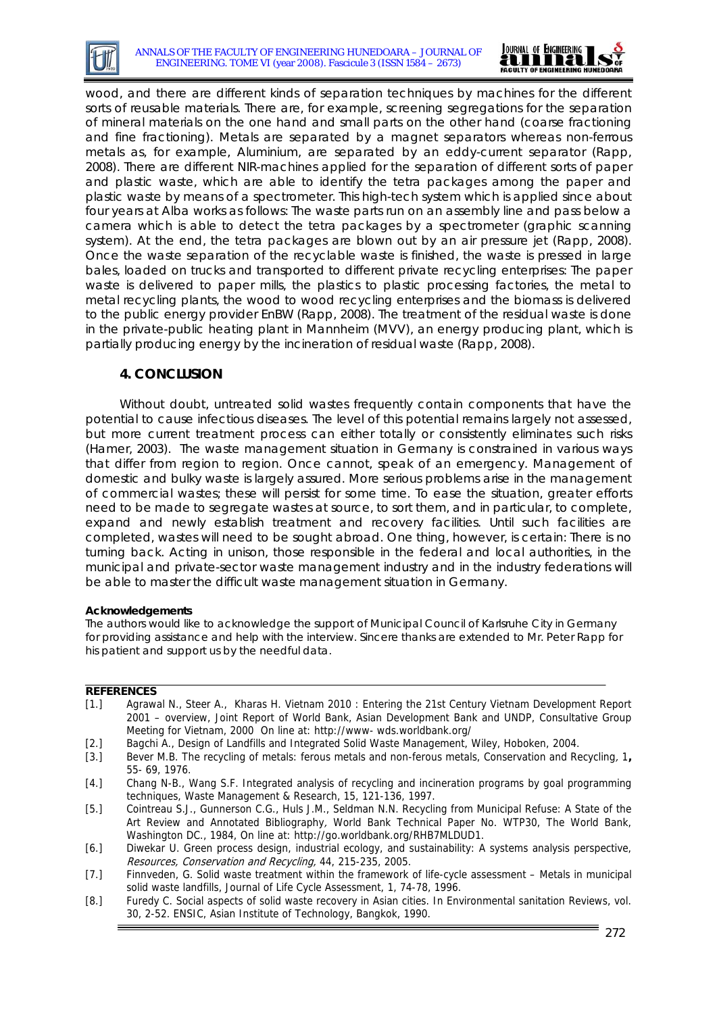



wood, and there are different kinds of separation techniques by machines for the different sorts of reusable materials. There are, for example, screening segregations for the separation of mineral materials on the one hand and small parts on the other hand (coarse fractioning and fine fractioning). Metals are separated by a magnet separators whereas non-ferrous metals as, for example, Aluminium, are separated by an eddy-current separator (Rapp, 2008). There are different NIR-machines applied for the separation of different sorts of paper and plastic waste, which are able to identify the tetra packages among the paper and plastic waste by means of a spectrometer. This high-tech system which is applied since about four years at Alba works as follows: The waste parts run on an assembly line and pass below a camera which is able to detect the tetra packages by a spectrometer (graphic scanning system). At the end, the tetra packages are blown out by an air pressure jet (Rapp, 2008). Once the waste separation of the recyclable waste is finished, the waste is pressed in large bales, loaded on trucks and transported to different private recycling enterprises: The paper waste is delivered to paper mills, the plastics to plastic processing factories, the metal to metal recycling plants, the wood to wood recycling enterprises and the biomass is delivered to the public energy provider EnBW (Rapp, 2008). The treatment of the residual waste is done in the private-public heating plant in Mannheim (MVV), an energy producing plant, which is partially producing energy by the incineration of residual waste (Rapp, 2008).

#### **4. CONCLUSION**

Without doubt, untreated solid wastes frequently contain components that have the potential to cause infectious diseases. The level of this potential remains largely not assessed, but more current treatment process can either totally or consistently eliminates such risks (Hamer, 2003). The waste management situation in Germany is constrained in various ways that differ from region to region. Once cannot, speak of an emergency. Management of domestic and bulky waste is largely assured. More serious problems arise in the management of commercial wastes; these will persist for some time. To ease the situation, greater efforts need to be made to segregate wastes at source, to sort them, and in particular, to complete, expand and newly establish treatment and recovery facilities. Until such facilities are completed, wastes will need to be sought abroad. One thing, however, is certain: There is no turning back. Acting in unison, those responsible in the federal and local authorities, in the municipal and private-sector waste management industry and in the industry federations will be able to master the difficult waste management situation in Germany.

#### **Acknowledgements**

The authors would like to acknowledge the support of Municipal Council of Karlsruhe City in Germany for providing assistance and help with the interview. Sincere thanks are extended to Mr. Peter Rapp for his patient and support us by the needful data.

#### **REFERENCES**

- [1.] Agrawal N., Steer A., Kharas H. Vietnam 2010 : Entering the 21st Century Vietnam Development Report 2001 – overview, Joint Report of World Bank, Asian Development Bank and UNDP, Consultative Group Meeting for Vietnam, 2000 On line at: http://www- wds.worldbank.org/
- [2.] Bagchi A., Design of Landfills and Integrated Solid Waste Management, Wiley, Hoboken, 2004.
- [3.] Bever M.B. The recycling of metals: ferous metals and non-ferous metals, Conservation and Recycling, 1**,** 55- 69, 1976.
- [4.] Chang N-B., Wang S.F. Integrated analysis of recycling and incineration programs by goal programming techniques, Waste Management & Research, 15, 121-136, 1997.
- [5.] Cointreau S.J., Gunnerson C.G., Huls J.M., Seldman N.N. Recycling from Municipal Refuse: A State of the Art Review and Annotated Bibliography, World Bank Technical Paper No. WTP30, The World Bank, Washington DC., 1984, On line at: http://go.worldbank.org/RHB7MLDUD1.
- [6.] Diwekar U. Green process design, industrial ecology, and sustainability: A systems analysis perspective, Resources, Conservation and Recycling, 44, 215-235, 2005.
- [7.] Finnveden, G. Solid waste treatment within the framework of life-cycle assessment Metals in municipal solid waste landfills, Journal of Life Cycle Assessment, 1, 74-78, 1996.
- [8.] Furedy C. Social aspects of solid waste recovery in Asian cities. In Environmental sanitation Reviews, vol. 30, 2-52. ENSIC, Asian Institute of Technology, Bangkok, 1990.